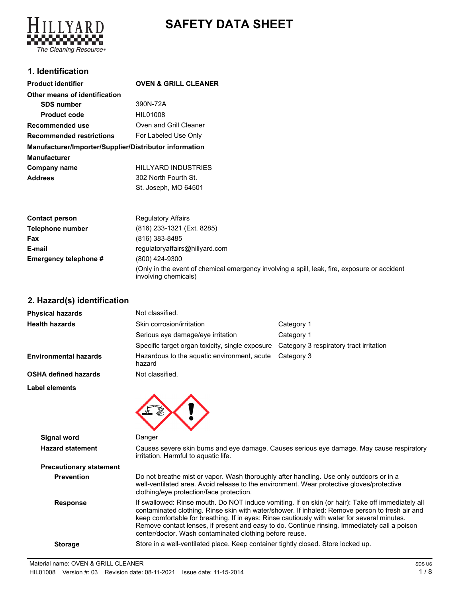# **SAFETY DATA SHEET**



## **1. Identification**

| <b>Product identifier</b>                              | <b>OVEN &amp; GRILL CLEANER</b> |
|--------------------------------------------------------|---------------------------------|
| Other means of identification                          |                                 |
| <b>SDS number</b>                                      | 390N-72A                        |
| <b>Product code</b>                                    | HIL01008                        |
| Recommended use                                        | Oven and Grill Cleaner          |
| <b>Recommended restrictions</b>                        | For Labeled Use Only            |
| Manufacturer/Importer/Supplier/Distributor information |                                 |
| <b>Manufacturer</b>                                    |                                 |
| Company name                                           | <b>HILLYARD INDUSTRIES</b>      |
| <b>Address</b>                                         | 302 North Fourth St.            |
|                                                        | St. Joseph. MO 64501            |

| <b>Contact person</b> | <b>Regulatory Affairs</b>                                                                                            |
|-----------------------|----------------------------------------------------------------------------------------------------------------------|
| Telephone number      | (816) 233-1321 (Ext. 8285)                                                                                           |
| Fax                   | (816) 383-8485                                                                                                       |
| E-mail                | regulatoryaffairs@hillyard.com                                                                                       |
| Emergency telephone # | (800) 424-9300                                                                                                       |
|                       | (Only in the event of chemical emergency involving a spill, leak, fire, exposure or accident<br>involving chemicals) |

## **2. Hazard(s) identification**

| <b>Physical hazards</b>                       | Not classified.                                                                                                                                                                                                                  |                                                                                                                                                                                                                                                                                                       |  |
|-----------------------------------------------|----------------------------------------------------------------------------------------------------------------------------------------------------------------------------------------------------------------------------------|-------------------------------------------------------------------------------------------------------------------------------------------------------------------------------------------------------------------------------------------------------------------------------------------------------|--|
| <b>Health hazards</b>                         | Skin corrosion/irritation                                                                                                                                                                                                        | Category 1                                                                                                                                                                                                                                                                                            |  |
|                                               | Serious eye damage/eye irritation                                                                                                                                                                                                | Category 1                                                                                                                                                                                                                                                                                            |  |
|                                               | Specific target organ toxicity, single exposure                                                                                                                                                                                  | Category 3 respiratory tract irritation                                                                                                                                                                                                                                                               |  |
| <b>Environmental hazards</b>                  | Hazardous to the aquatic environment, acute<br>hazard                                                                                                                                                                            | Category 3                                                                                                                                                                                                                                                                                            |  |
| OSHA defined hazards                          | Not classified.                                                                                                                                                                                                                  |                                                                                                                                                                                                                                                                                                       |  |
| Label elements                                |                                                                                                                                                                                                                                  |                                                                                                                                                                                                                                                                                                       |  |
| <b>Signal word</b><br><b>Hazard statement</b> | Danger<br>irritation. Harmful to aquatic life.                                                                                                                                                                                   | Causes severe skin burns and eye damage. Causes serious eye damage. May cause respiratory                                                                                                                                                                                                             |  |
| <b>Precautionary statement</b>                |                                                                                                                                                                                                                                  |                                                                                                                                                                                                                                                                                                       |  |
| <b>Prevention</b>                             | Do not breathe mist or vapor. Wash thoroughly after handling. Use only outdoors or in a<br>well-ventilated area. Avoid release to the environment. Wear protective gloves/protective<br>clothing/eye protection/face protection. |                                                                                                                                                                                                                                                                                                       |  |
| <b>Response</b>                               | keep comfortable for breathing. If in eyes: Rinse cautiously with water for several minutes.<br>center/doctor. Wash contaminated clothing before reuse.                                                                          | If swallowed: Rinse mouth. Do NOT induce vomiting. If on skin (or hair): Take off immediately all<br>contaminated clothing. Rinse skin with water/shower. If inhaled: Remove person to fresh air and<br>Remove contact lenses, if present and easy to do. Continue rinsing. Immediately call a poison |  |
| <b>Storage</b>                                | Store in a well-ventilated place. Keep container tightly closed. Store locked up.                                                                                                                                                |                                                                                                                                                                                                                                                                                                       |  |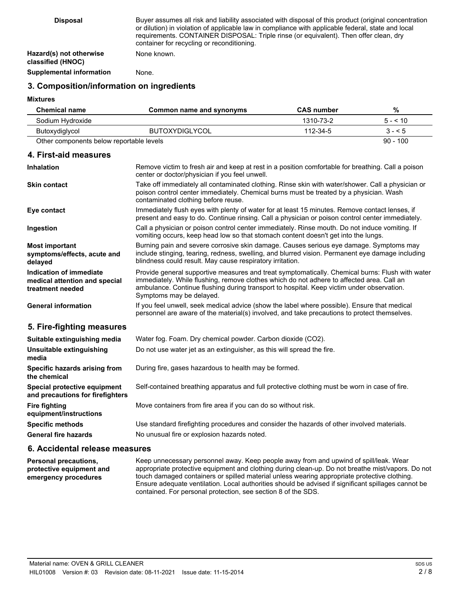| <b>Disposal</b>                              | Buyer assumes all risk and liability associated with disposal of this product (original concentration<br>or dilution) in violation of applicable law in compliance with applicable federal, state and local<br>requirements. CONTAINER DISPOSAL: Triple rinse (or equivalent). Then offer clean, dry<br>container for recycling or reconditioning. |
|----------------------------------------------|----------------------------------------------------------------------------------------------------------------------------------------------------------------------------------------------------------------------------------------------------------------------------------------------------------------------------------------------------|
| Hazard(s) not otherwise<br>classified (HNOC) | None known.                                                                                                                                                                                                                                                                                                                                        |
| Supplemental information                     | None.                                                                                                                                                                                                                                                                                                                                              |

### **3. Composition/information on ingredients**

#### **Mixtures**

**Inhalation**

| <b>Chemical name</b>                     | <b>CAS number</b><br>Common name and synonyms |           | %          |
|------------------------------------------|-----------------------------------------------|-----------|------------|
| Sodium Hydroxide                         |                                               | 1310-73-2 | $5 - 510$  |
| Butoxydiglycol                           | <b>BUTOXYDIGLYCOL</b>                         | 112-34-5  | $3 - 5$    |
| Other components below reportable levels |                                               |           | $90 - 100$ |

#### **4. First-aid measures**

| <b>Inhalation</b>                                                            | Remove victim to fresh air and keep at rest in a position comfortable for breathing. Call a poison<br>center or doctor/physician if you feel unwell.                                                                                                                                                                  |  |
|------------------------------------------------------------------------------|-----------------------------------------------------------------------------------------------------------------------------------------------------------------------------------------------------------------------------------------------------------------------------------------------------------------------|--|
| <b>Skin contact</b>                                                          | Take off immediately all contaminated clothing. Rinse skin with water/shower. Call a physician or<br>poison control center immediately. Chemical burns must be treated by a physician. Wash<br>contaminated clothing before reuse.                                                                                    |  |
| Eye contact                                                                  | Immediately flush eyes with plenty of water for at least 15 minutes. Remove contact lenses, if<br>present and easy to do. Continue rinsing. Call a physician or poison control center immediately.                                                                                                                    |  |
| Ingestion                                                                    | Call a physician or poison control center immediately. Rinse mouth. Do not induce vomiting. If<br>vomiting occurs, keep head low so that stomach content doesn't get into the lungs.                                                                                                                                  |  |
| <b>Most important</b><br>symptoms/effects, acute and<br>delayed              | Burning pain and severe corrosive skin damage. Causes serious eye damage. Symptoms may<br>include stinging, tearing, redness, swelling, and blurred vision. Permanent eye damage including<br>blindness could result. May cause respiratory irritation.                                                               |  |
| Indication of immediate<br>medical attention and special<br>treatment needed | Provide general supportive measures and treat symptomatically. Chemical burns: Flush with water<br>immediately. While flushing, remove clothes which do not adhere to affected area. Call an<br>ambulance. Continue flushing during transport to hospital. Keep victim under observation.<br>Symptoms may be delayed. |  |
| <b>General information</b>                                                   | If you feel unwell, seek medical advice (show the label where possible). Ensure that medical<br>personnel are aware of the material(s) involved, and take precautions to protect themselves.                                                                                                                          |  |
| 5. Fire-fighting measures                                                    |                                                                                                                                                                                                                                                                                                                       |  |
| Suitable extinguishing media                                                 | Water fog. Foam. Dry chemical powder. Carbon dioxide (CO2).                                                                                                                                                                                                                                                           |  |
| Unsuitable extinguishing<br>media                                            | Do not use water jet as an extinguisher, as this will spread the fire.                                                                                                                                                                                                                                                |  |
| Specific hazards arising from<br>the chemical                                | During fire, gases hazardous to health may be formed.                                                                                                                                                                                                                                                                 |  |
| Special protective equipment<br>and precautions for firefighters             | Self-contained breathing apparatus and full protective clothing must be worn in case of fire.                                                                                                                                                                                                                         |  |
| <b>Fire fighting</b><br>equipment/instructions                               | Move containers from fire area if you can do so without risk.                                                                                                                                                                                                                                                         |  |
| <b>Specific methods</b>                                                      | Use standard firefighting procedures and consider the hazards of other involved materials.                                                                                                                                                                                                                            |  |
| <b>General fire hazards</b>                                                  | No unusual fire or explosion hazards noted.                                                                                                                                                                                                                                                                           |  |
|                                                                              |                                                                                                                                                                                                                                                                                                                       |  |

### **6. Accidental release measures**

Keep unnecessary personnel away. Keep people away from and upwind of spill/leak. Wear appropriate protective equipment and clothing during clean-up. Do not breathe mist/vapors. Do not touch damaged containers or spilled material unless wearing appropriate protective clothing. Ensure adequate ventilation. Local authorities should be advised if significant spillages cannot be contained. For personal protection, see section 8 of the SDS. **Personal precautions, protective equipment and emergency procedures**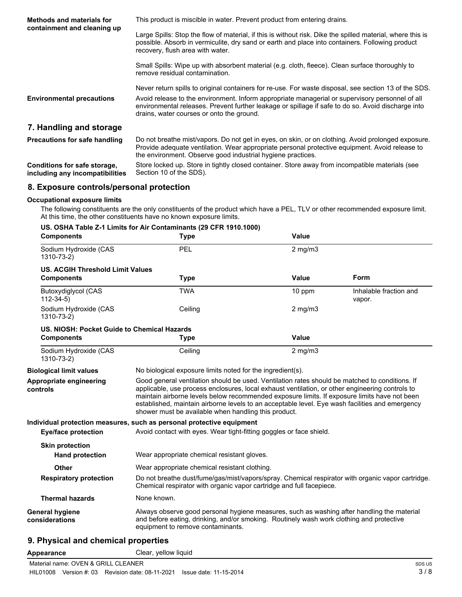| <b>Methods and materials for</b><br>containment and cleaning up | This product is miscible in water. Prevent product from entering drains.                                                                                                                                                                                            |  |  |
|-----------------------------------------------------------------|---------------------------------------------------------------------------------------------------------------------------------------------------------------------------------------------------------------------------------------------------------------------|--|--|
|                                                                 | Large Spills: Stop the flow of material, if this is without risk. Dike the spilled material, where this is<br>possible. Absorb in vermiculite, dry sand or earth and place into containers. Following product<br>recovery, flush area with water.                   |  |  |
|                                                                 | Small Spills: Wipe up with absorbent material (e.g. cloth, fleece). Clean surface thoroughly to<br>remove residual contamination.                                                                                                                                   |  |  |
|                                                                 | Never return spills to original containers for re-use. For waste disposal, see section 13 of the SDS.                                                                                                                                                               |  |  |
| <b>Environmental precautions</b>                                | Avoid release to the environment. Inform appropriate managerial or supervisory personnel of all<br>environmental releases. Prevent further leakage or spillage if safe to do so. Avoid discharge into<br>drains, water courses or onto the ground.                  |  |  |
| 7. Handling and storage                                         |                                                                                                                                                                                                                                                                     |  |  |
| <b>Precautions for safe handling</b>                            | Do not breathe mist/vapors. Do not get in eyes, on skin, or on clothing. Avoid prolonged exposure.<br>Provide adequate ventilation. Wear appropriate personal protective equipment. Avoid release to<br>the environment. Observe good industrial hygiene practices. |  |  |
| Conditions for onto otorone                                     | Ctare leaked un. Ctare in tightly algeed container. Ctare quay from incompatible materials (ace                                                                                                                                                                     |  |  |

Store locked up. Store in tightly closed container. Store away from incompatible materials (see Section 10 of the SDS). **Conditions for safe storage, including any incompatibilities**

### **8. Exposure controls/personal protection**

#### **Occupational exposure limits**

The following constituents are the only constituents of the product which have a PEL, TLV or other recommended exposure limit. At this time, the other constituents have no known exposure limits.

| <b>Components</b>                           | US. OSHA Table Z-1 Limits for Air Contaminants (29 CFR 1910.1000)<br><b>Type</b>                                                                                                                                                                                                                                                                                                                                                                             | Value                                                                                                                                                                     |                                  |  |
|---------------------------------------------|--------------------------------------------------------------------------------------------------------------------------------------------------------------------------------------------------------------------------------------------------------------------------------------------------------------------------------------------------------------------------------------------------------------------------------------------------------------|---------------------------------------------------------------------------------------------------------------------------------------------------------------------------|----------------------------------|--|
| Sodium Hydroxide (CAS<br>1310-73-2)         | PEL<br>$2$ mg/m $3$                                                                                                                                                                                                                                                                                                                                                                                                                                          |                                                                                                                                                                           |                                  |  |
| <b>US. ACGIH Threshold Limit Values</b>     |                                                                                                                                                                                                                                                                                                                                                                                                                                                              |                                                                                                                                                                           |                                  |  |
| <b>Components</b>                           | <b>Type</b>                                                                                                                                                                                                                                                                                                                                                                                                                                                  | Value                                                                                                                                                                     | Form                             |  |
| Butoxydiglycol (CAS<br>$112 - 34 - 5$       | <b>TWA</b>                                                                                                                                                                                                                                                                                                                                                                                                                                                   | 10 ppm                                                                                                                                                                    | Inhalable fraction and<br>vapor. |  |
| Sodium Hydroxide (CAS<br>1310-73-2)         | Ceiling                                                                                                                                                                                                                                                                                                                                                                                                                                                      | $2$ mg/m $3$                                                                                                                                                              |                                  |  |
| US. NIOSH: Pocket Guide to Chemical Hazards |                                                                                                                                                                                                                                                                                                                                                                                                                                                              |                                                                                                                                                                           |                                  |  |
| <b>Components</b>                           | <b>Type</b>                                                                                                                                                                                                                                                                                                                                                                                                                                                  | Value                                                                                                                                                                     |                                  |  |
| Sodium Hydroxide (CAS<br>1310-73-2)         | Ceiling                                                                                                                                                                                                                                                                                                                                                                                                                                                      | $2$ mg/m $3$                                                                                                                                                              |                                  |  |
| <b>Biological limit values</b>              | No biological exposure limits noted for the ingredient(s).                                                                                                                                                                                                                                                                                                                                                                                                   |                                                                                                                                                                           |                                  |  |
| Appropriate engineering<br>controls         | Good general ventilation should be used. Ventilation rates should be matched to conditions. If<br>applicable, use process enclosures, local exhaust ventilation, or other engineering controls to<br>maintain airborne levels below recommended exposure limits. If exposure limits have not been<br>established, maintain airborne levels to an acceptable level. Eye wash facilities and emergency<br>shower must be available when handling this product. |                                                                                                                                                                           |                                  |  |
|                                             | Individual protection measures, such as personal protective equipment                                                                                                                                                                                                                                                                                                                                                                                        |                                                                                                                                                                           |                                  |  |
| <b>Eye/face protection</b>                  |                                                                                                                                                                                                                                                                                                                                                                                                                                                              | Avoid contact with eyes. Wear tight-fitting goggles or face shield.                                                                                                       |                                  |  |
| <b>Skin protection</b>                      |                                                                                                                                                                                                                                                                                                                                                                                                                                                              |                                                                                                                                                                           |                                  |  |
| <b>Hand protection</b>                      |                                                                                                                                                                                                                                                                                                                                                                                                                                                              | Wear appropriate chemical resistant gloves.                                                                                                                               |                                  |  |
| <b>Other</b>                                | Wear appropriate chemical resistant clothing.                                                                                                                                                                                                                                                                                                                                                                                                                |                                                                                                                                                                           |                                  |  |
| <b>Respiratory protection</b>               |                                                                                                                                                                                                                                                                                                                                                                                                                                                              | Do not breathe dust/fume/gas/mist/vapors/spray. Chemical respirator with organic vapor cartridge.<br>Chemical respirator with organic vapor cartridge and full facepiece. |                                  |  |
| <b>Thermal hazards</b>                      | None known.                                                                                                                                                                                                                                                                                                                                                                                                                                                  |                                                                                                                                                                           |                                  |  |
| <b>General hygiene</b><br>considerations    | Always observe good personal hygiene measures, such as washing after handling the material<br>and before eating, drinking, and/or smoking. Routinely wash work clothing and protective<br>equipment to remove contaminants.                                                                                                                                                                                                                                  |                                                                                                                                                                           |                                  |  |

## **9. Physical and chemical properties**

**Appearance** Clear, yellow liquid

Material name: OVEN & GRILL CLEANER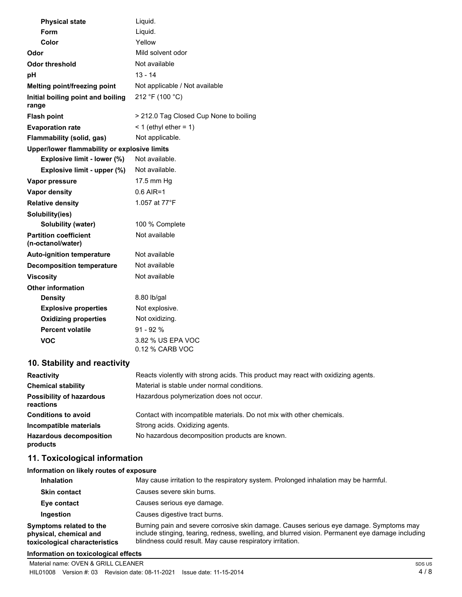| <b>Physical state</b>                             | Liquid.                                |
|---------------------------------------------------|----------------------------------------|
| Form                                              | Liquid.                                |
| Color                                             | Yellow                                 |
| Odor                                              | Mild solvent odor                      |
| Odor threshold                                    | Not available                          |
| рH                                                | $13 - 14$                              |
| Melting point/freezing point                      | Not applicable / Not available         |
| Initial boiling point and boiling<br>range        | 212 °F (100 °C)                        |
| <b>Flash point</b>                                | > 212.0 Tag Closed Cup None to boiling |
| <b>Evaporation rate</b>                           | < 1 (ethyl ether = $1$ )               |
| <b>Flammability (solid, gas)</b>                  | Not applicable.                        |
| Upper/lower flammability or explosive limits      |                                        |
| Explosive limit - lower (%)                       | Not available.                         |
| Explosive limit - upper (%)                       | Not available.                         |
| Vapor pressure                                    | 17.5 mm Hg                             |
| <b>Vapor density</b>                              | $0.6$ AIR=1                            |
| <b>Relative density</b>                           | 1.057 at 77°F                          |
| Solubility(ies)                                   |                                        |
| <b>Solubility (water)</b>                         | 100 % Complete                         |
| <b>Partition coefficient</b><br>(n-octanol/water) | Not available                          |
| <b>Auto-ignition temperature</b>                  | Not available                          |
| <b>Decomposition temperature</b>                  | Not available                          |
| <b>Viscosity</b>                                  | Not available                          |
| <b>Other information</b>                          |                                        |
| <b>Density</b>                                    | 8.80 lb/gal                            |
| <b>Explosive properties</b>                       | Not explosive.                         |
| <b>Oxidizing properties</b>                       | Not oxidizing.                         |
| <b>Percent volatile</b>                           | $91 - 92%$                             |
| VOC                                               | 3.82 % US EPA VOC<br>0.12 % CARB VOC   |
|                                                   |                                        |

## **10. Stability and reactivity**

| <b>Reactivity</b>                            | Reacts violently with strong acids. This product may react with oxidizing agents. |
|----------------------------------------------|-----------------------------------------------------------------------------------|
| <b>Chemical stability</b>                    | Material is stable under normal conditions.                                       |
| <b>Possibility of hazardous</b><br>reactions | Hazardous polymerization does not occur.                                          |
| <b>Conditions to avoid</b>                   | Contact with incompatible materials. Do not mix with other chemicals.             |
| Incompatible materials                       | Strong acids. Oxidizing agents.                                                   |
| <b>Hazardous decomposition</b><br>products   | No hazardous decomposition products are known.                                    |

## **11. Toxicological information**

| Information on likely routes of exposure                                           |                                                                                                                                                                                                                                                         |  |  |
|------------------------------------------------------------------------------------|---------------------------------------------------------------------------------------------------------------------------------------------------------------------------------------------------------------------------------------------------------|--|--|
| <b>Inhalation</b>                                                                  | May cause irritation to the respiratory system. Prolonged inhalation may be harmful.                                                                                                                                                                    |  |  |
| <b>Skin contact</b>                                                                | Causes severe skin burns.                                                                                                                                                                                                                               |  |  |
| Eye contact                                                                        | Causes serious eye damage.                                                                                                                                                                                                                              |  |  |
| Ingestion                                                                          | Causes digestive tract burns.                                                                                                                                                                                                                           |  |  |
| Symptoms related to the<br>physical, chemical and<br>toxicological characteristics | Burning pain and severe corrosive skin damage. Causes serious eye damage. Symptoms may<br>include stinging, tearing, redness, swelling, and blurred vision. Permanent eye damage including<br>blindness could result. May cause respiratory irritation. |  |  |

#### **Information on toxicological effects**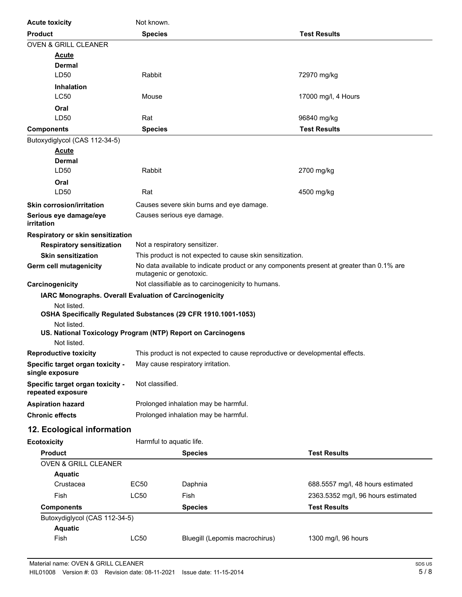| <b>Acute toxicity</b>                                                         | Not known.                                                                                                          |                                                           |                                    |  |
|-------------------------------------------------------------------------------|---------------------------------------------------------------------------------------------------------------------|-----------------------------------------------------------|------------------------------------|--|
| <b>Product</b>                                                                | <b>Species</b><br><b>Test Results</b>                                                                               |                                                           |                                    |  |
| <b>OVEN &amp; GRILL CLEANER</b>                                               |                                                                                                                     |                                                           |                                    |  |
| <u>Acute</u>                                                                  |                                                                                                                     |                                                           |                                    |  |
| Dermal                                                                        |                                                                                                                     |                                                           |                                    |  |
| LD50                                                                          | Rabbit<br>72970 mg/kg                                                                                               |                                                           |                                    |  |
| <b>Inhalation</b>                                                             |                                                                                                                     |                                                           |                                    |  |
| <b>LC50</b>                                                                   | Mouse                                                                                                               |                                                           | 17000 mg/l, 4 Hours                |  |
| Oral                                                                          |                                                                                                                     |                                                           |                                    |  |
| LD50                                                                          | Rat                                                                                                                 |                                                           | 96840 mg/kg                        |  |
| <b>Components</b>                                                             | <b>Species</b>                                                                                                      |                                                           | <b>Test Results</b>                |  |
| Butoxydiglycol (CAS 112-34-5)<br><u>Acute</u>                                 |                                                                                                                     |                                                           |                                    |  |
| <b>Dermal</b>                                                                 |                                                                                                                     |                                                           |                                    |  |
| LD50                                                                          | Rabbit                                                                                                              |                                                           | 2700 mg/kg                         |  |
| Oral                                                                          |                                                                                                                     |                                                           |                                    |  |
| LD50                                                                          | Rat                                                                                                                 |                                                           | 4500 mg/kg                         |  |
| <b>Skin corrosion/irritation</b>                                              |                                                                                                                     | Causes severe skin burns and eye damage.                  |                                    |  |
| Serious eye damage/eye                                                        |                                                                                                                     | Causes serious eye damage.                                |                                    |  |
| <i>irritation</i>                                                             |                                                                                                                     |                                                           |                                    |  |
| Respiratory or skin sensitization                                             |                                                                                                                     |                                                           |                                    |  |
| <b>Respiratory sensitization</b>                                              | Not a respiratory sensitizer.                                                                                       |                                                           |                                    |  |
| <b>Skin sensitization</b>                                                     |                                                                                                                     | This product is not expected to cause skin sensitization. |                                    |  |
| Germ cell mutagenicity                                                        | No data available to indicate product or any components present at greater than 0.1% are<br>mutagenic or genotoxic. |                                                           |                                    |  |
| Carcinogenicity                                                               | Not classifiable as to carcinogenicity to humans.                                                                   |                                                           |                                    |  |
| IARC Monographs. Overall Evaluation of Carcinogenicity                        |                                                                                                                     |                                                           |                                    |  |
| Not listed.<br>OSHA Specifically Regulated Substances (29 CFR 1910.1001-1053) |                                                                                                                     |                                                           |                                    |  |
| Not listed.                                                                   |                                                                                                                     |                                                           |                                    |  |
| US. National Toxicology Program (NTP) Report on Carcinogens                   |                                                                                                                     |                                                           |                                    |  |
| Not listed.                                                                   |                                                                                                                     |                                                           |                                    |  |
| <b>Reproductive toxicity</b>                                                  | This product is not expected to cause reproductive or developmental effects.                                        |                                                           |                                    |  |
| Specific target organ toxicity -<br>single exposure                           |                                                                                                                     | May cause respiratory irritation.                         |                                    |  |
| Specific target organ toxicity -<br>repeated exposure                         | Not classified.                                                                                                     |                                                           |                                    |  |
| <b>Aspiration hazard</b>                                                      |                                                                                                                     | Prolonged inhalation may be harmful.                      |                                    |  |
| <b>Chronic effects</b>                                                        |                                                                                                                     | Prolonged inhalation may be harmful.                      |                                    |  |
| 12. Ecological information                                                    |                                                                                                                     |                                                           |                                    |  |
| <b>Ecotoxicity</b>                                                            | Harmful to aquatic life.                                                                                            |                                                           |                                    |  |
| <b>Product</b>                                                                | <b>Test Results</b><br><b>Species</b>                                                                               |                                                           |                                    |  |
| <b>OVEN &amp; GRILL CLEANER</b>                                               |                                                                                                                     |                                                           |                                    |  |
| <b>Aquatic</b>                                                                |                                                                                                                     |                                                           |                                    |  |
| Crustacea                                                                     | EC50                                                                                                                | Daphnia                                                   | 688.5557 mg/l, 48 hours estimated  |  |
| Fish                                                                          | <b>LC50</b>                                                                                                         | Fish                                                      | 2363.5352 mg/l, 96 hours estimated |  |
| <b>Components</b>                                                             |                                                                                                                     | <b>Species</b>                                            | <b>Test Results</b>                |  |
| Butoxydiglycol (CAS 112-34-5)                                                 |                                                                                                                     |                                                           |                                    |  |
| <b>Aquatic</b>                                                                |                                                                                                                     |                                                           |                                    |  |
| Fish                                                                          | LC50                                                                                                                | Bluegill (Lepomis macrochirus)                            | 1300 mg/l, 96 hours                |  |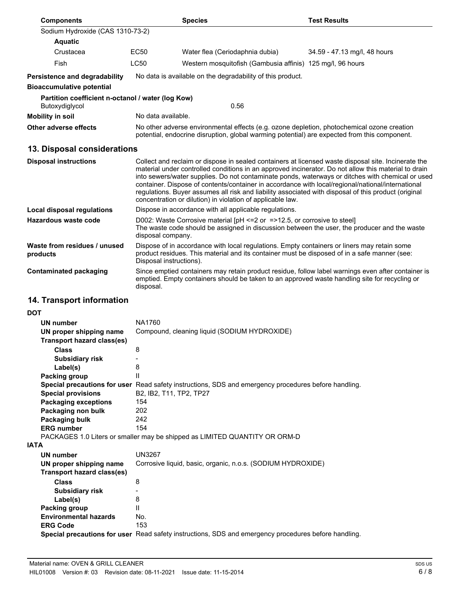| <b>Components</b>                                                   |                                                                                                                                                                                                                        | <b>Species</b>                                                                                                                                                                                                                                                                                                                                                                                                                                                                         | <b>Test Results</b>                                                                              |
|---------------------------------------------------------------------|------------------------------------------------------------------------------------------------------------------------------------------------------------------------------------------------------------------------|----------------------------------------------------------------------------------------------------------------------------------------------------------------------------------------------------------------------------------------------------------------------------------------------------------------------------------------------------------------------------------------------------------------------------------------------------------------------------------------|--------------------------------------------------------------------------------------------------|
| Sodium Hydroxide (CAS 1310-73-2)                                    |                                                                                                                                                                                                                        |                                                                                                                                                                                                                                                                                                                                                                                                                                                                                        |                                                                                                  |
| <b>Aquatic</b>                                                      |                                                                                                                                                                                                                        |                                                                                                                                                                                                                                                                                                                                                                                                                                                                                        |                                                                                                  |
| Crustacea                                                           | <b>EC50</b>                                                                                                                                                                                                            | Water flea (Ceriodaphnia dubia)                                                                                                                                                                                                                                                                                                                                                                                                                                                        | 34.59 - 47.13 mg/l, 48 hours                                                                     |
| Fish                                                                | <b>LC50</b>                                                                                                                                                                                                            | Western mosquitofish (Gambusia affinis) 125 mg/l, 96 hours                                                                                                                                                                                                                                                                                                                                                                                                                             |                                                                                                  |
| Persistence and degradability                                       |                                                                                                                                                                                                                        | No data is available on the degradability of this product.                                                                                                                                                                                                                                                                                                                                                                                                                             |                                                                                                  |
| <b>Bioaccumulative potential</b>                                    |                                                                                                                                                                                                                        |                                                                                                                                                                                                                                                                                                                                                                                                                                                                                        |                                                                                                  |
| Partition coefficient n-octanol / water (log Kow)<br>Butoxydiglycol |                                                                                                                                                                                                                        | 0.56                                                                                                                                                                                                                                                                                                                                                                                                                                                                                   |                                                                                                  |
| <b>Mobility in soil</b>                                             | No data available.                                                                                                                                                                                                     |                                                                                                                                                                                                                                                                                                                                                                                                                                                                                        |                                                                                                  |
| Other adverse effects                                               | No other adverse environmental effects (e.g. ozone depletion, photochemical ozone creation<br>potential, endocrine disruption, global warming potential) are expected from this component.                             |                                                                                                                                                                                                                                                                                                                                                                                                                                                                                        |                                                                                                  |
| 13. Disposal considerations                                         |                                                                                                                                                                                                                        |                                                                                                                                                                                                                                                                                                                                                                                                                                                                                        |                                                                                                  |
| <b>Disposal instructions</b>                                        |                                                                                                                                                                                                                        | Collect and reclaim or dispose in sealed containers at licensed waste disposal site. Incinerate the<br>material under controlled conditions in an approved incinerator. Do not allow this material to drain<br>container. Dispose of contents/container in accordance with local/regional/national/international<br>regulations. Buyer assumes all risk and liability associated with disposal of this product (original<br>concentration or dilution) in violation of applicable law. | into sewers/water supplies. Do not contaminate ponds, waterways or ditches with chemical or used |
| <b>Local disposal regulations</b>                                   | Dispose in accordance with all applicable regulations.                                                                                                                                                                 |                                                                                                                                                                                                                                                                                                                                                                                                                                                                                        |                                                                                                  |
| Hazardous waste code                                                | D002: Waste Corrosive material $[PH \le 2$ or $= >12.5$ , or corrosive to steel<br>The waste code should be assigned in discussion between the user, the producer and the waste<br>disposal company.                   |                                                                                                                                                                                                                                                                                                                                                                                                                                                                                        |                                                                                                  |
| Waste from residues / unused<br>products                            | Dispose of in accordance with local regulations. Empty containers or liners may retain some<br>product residues. This material and its container must be disposed of in a safe manner (see:<br>Disposal instructions). |                                                                                                                                                                                                                                                                                                                                                                                                                                                                                        |                                                                                                  |
| <b>Contaminated packaging</b>                                       | Since emptied containers may retain product residue, follow label warnings even after container is<br>emptied. Empty containers should be taken to an approved waste handling site for recycling or<br>disposal.       |                                                                                                                                                                                                                                                                                                                                                                                                                                                                                        |                                                                                                  |
| 14. Transport information                                           |                                                                                                                                                                                                                        |                                                                                                                                                                                                                                                                                                                                                                                                                                                                                        |                                                                                                  |
| <b>DOT</b>                                                          |                                                                                                                                                                                                                        |                                                                                                                                                                                                                                                                                                                                                                                                                                                                                        |                                                                                                  |
| <b>UN number</b>                                                    | NA1760                                                                                                                                                                                                                 |                                                                                                                                                                                                                                                                                                                                                                                                                                                                                        |                                                                                                  |
| UN proper shipping name<br><b>Transport hazard class(es)</b>        |                                                                                                                                                                                                                        | Compound, cleaning liquid (SODIUM HYDROXIDE)                                                                                                                                                                                                                                                                                                                                                                                                                                           |                                                                                                  |

| $11$ ansport nazaru ciassics) |                                                                                                      |
|-------------------------------|------------------------------------------------------------------------------------------------------|
| <b>Class</b>                  | 8                                                                                                    |
| Subsidiary risk               |                                                                                                      |
| Label(s)                      | 8                                                                                                    |
| Packing group                 | Ш                                                                                                    |
|                               | Special precautions for user Read safety instructions, SDS and emergency procedures before handling. |
| <b>Special provisions</b>     | B2, IB2, T11, TP2, TP27                                                                              |
| <b>Packaging exceptions</b>   | 154                                                                                                  |
| Packaging non bulk            | 202                                                                                                  |
| Packaging bulk                | 242                                                                                                  |
| <b>ERG</b> number             | 154                                                                                                  |

PACKAGES 1.0 Liters or smaller may be shipped as LIMITED QUANTITY OR ORM-D **IATA**

| UN number                    | UN3267                                                                                               |
|------------------------------|------------------------------------------------------------------------------------------------------|
| UN proper shipping name      | Corrosive liquid, basic, organic, n.o.s. (SODIUM HYDROXIDE)                                          |
| Transport hazard class(es)   |                                                                                                      |
| <b>Class</b>                 | 8                                                                                                    |
| <b>Subsidiary risk</b>       | -                                                                                                    |
| Label(s)                     | 8                                                                                                    |
| Packing group                |                                                                                                      |
| <b>Environmental hazards</b> | No.                                                                                                  |
| <b>ERG Code</b>              | 153                                                                                                  |
|                              | Special precautions for user Read safety instructions, SDS and emergency procedures before handling. |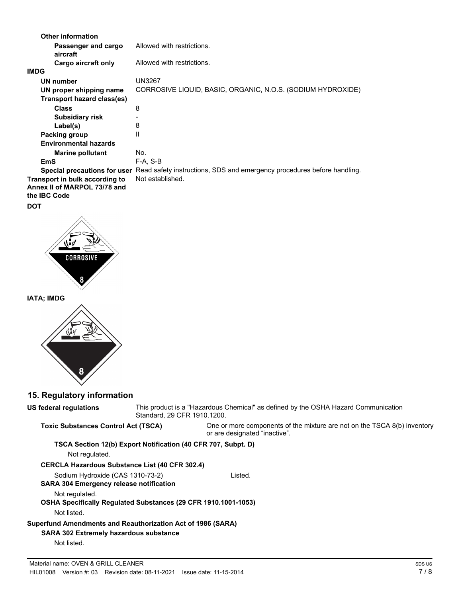| <b>Other information</b>                                                              |                                                                                                      |
|---------------------------------------------------------------------------------------|------------------------------------------------------------------------------------------------------|
| Passenger and cargo<br>aircraft                                                       | Allowed with restrictions.                                                                           |
| Cargo aircraft only                                                                   | Allowed with restrictions.                                                                           |
| <b>IMDG</b>                                                                           |                                                                                                      |
| UN number                                                                             | <b>UN3267</b>                                                                                        |
| UN proper shipping name                                                               | CORROSIVE LIQUID, BASIC, ORGANIC, N.O.S. (SODIUM HYDROXIDE)                                          |
| <b>Transport hazard class(es)</b>                                                     |                                                                                                      |
| <b>Class</b>                                                                          | 8                                                                                                    |
| <b>Subsidiary risk</b>                                                                |                                                                                                      |
| Label(s)                                                                              | 8                                                                                                    |
| Packing group                                                                         | Ш                                                                                                    |
| <b>Environmental hazards</b>                                                          |                                                                                                      |
| <b>Marine pollutant</b>                                                               | No.                                                                                                  |
| <b>EmS</b>                                                                            | $F-A, S-B$                                                                                           |
|                                                                                       | Special precautions for user Read safety instructions, SDS and emergency procedures before handling. |
| Transport in bulk according to<br>Annex II of MARPOL 73/78 and<br>the <b>IBC</b> Code | Not established.                                                                                     |
| <b>DOT</b>                                                                            |                                                                                                      |
| <b>CORROSIVE</b>                                                                      |                                                                                                      |

**IATA; IMDG**



 $\overline{\mathbf{8}}$ 

## **15. Regulatory information**

| US federal regulations                                                                                                      | This product is a "Hazardous Chemical" as defined by the OSHA Hazard Communication<br>Standard, 29 CFR 1910.1200. |                                                                                                             |
|-----------------------------------------------------------------------------------------------------------------------------|-------------------------------------------------------------------------------------------------------------------|-------------------------------------------------------------------------------------------------------------|
| <b>Toxic Substances Control Act (TSCA)</b>                                                                                  |                                                                                                                   | One or more components of the mixture are not on the TSCA $8(b)$ inventory<br>or are designated "inactive". |
|                                                                                                                             | TSCA Section 12(b) Export Notification (40 CFR 707, Subpt. D)                                                     |                                                                                                             |
| Not regulated.                                                                                                              |                                                                                                                   |                                                                                                             |
| <b>CERCLA Hazardous Substance List (40 CFR 302.4)</b>                                                                       |                                                                                                                   |                                                                                                             |
| Sodium Hydroxide (CAS 1310-73-2)<br><b>SARA 304 Emergency release notification</b>                                          |                                                                                                                   | Listed.                                                                                                     |
| Not regulated.<br><b>OSHA Specifically Requiated Substances (29 CFR 1910.1001-1053)</b><br>Not listed.                      |                                                                                                                   |                                                                                                             |
| Superfund Amendments and Reauthorization Act of 1986 (SARA)<br><b>SARA 302 Extremely hazardous substance</b><br>Not listed. |                                                                                                                   |                                                                                                             |